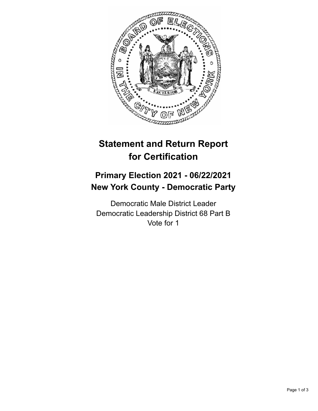

## **Statement and Return Report for Certification**

## **Primary Election 2021 - 06/22/2021 New York County - Democratic Party**

Democratic Male District Leader Democratic Leadership District 68 Part B Vote for 1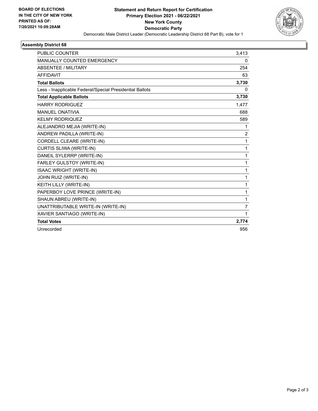

## **Assembly District 68**

| <b>PUBLIC COUNTER</b>                                    | 3,413          |
|----------------------------------------------------------|----------------|
| <b>MANUALLY COUNTED EMERGENCY</b>                        | $\mathbf{0}$   |
| <b>ABSENTEE / MILITARY</b>                               | 254            |
| <b>AFFIDAVIT</b>                                         | 63             |
| <b>Total Ballots</b>                                     | 3,730          |
| Less - Inapplicable Federal/Special Presidential Ballots | 0              |
| <b>Total Applicable Ballots</b>                          | 3,730          |
| <b>HARRY RODRIGUEZ</b>                                   | 1,477          |
| <b>MANUEL ONATIVIA</b>                                   | 688            |
| <b>KELMY RODRIQUEZ</b>                                   | 589            |
| ALEJANDRO MEJIA (WRITE-IN)                               | 1              |
| ANDREW PADILLA (WRITE-IN)                                | $\overline{c}$ |
| CORDELL CLEARE (WRITE-IN)                                | 1              |
| CURTIS SLIWA (WRITE-IN)                                  | 1              |
| DANEIL SYLERRP (WRITE-IN)                                | 1              |
| FARLEY GULSTOY (WRITE-IN)                                | 1              |
| <b>ISAAC WRIGHT (WRITE-IN)</b>                           | 1              |
| JOHN RUIZ (WRITE-IN)                                     | 1              |
| KEITH LILLY (WRITE-IN)                                   | 1              |
| PAPERBOY LOVE PRINCE (WRITE-IN)                          | 1              |
| SHAUN ABREU (WRITE-IN)                                   | 1              |
| UNATTRIBUTABLE WRITE-IN (WRITE-IN)                       | $\overline{7}$ |
| XAVIER SANTIAGO (WRITE-IN)                               | 1              |
| <b>Total Votes</b>                                       | 2,774          |
| Unrecorded                                               | 956            |